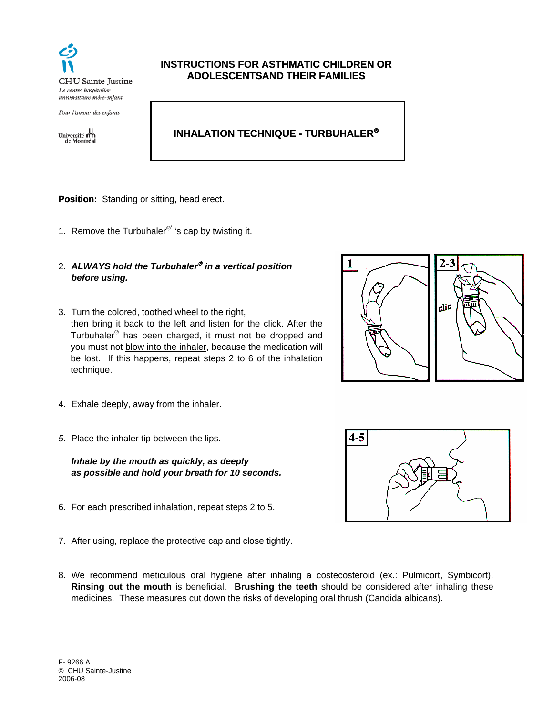

Pour l'amour des enfants

 $\begin{tabular}{c} University & \textbf{M} \\ \textbf{University} & \textbf{M} \\ \textbf{de Montreal} \\ \end{tabular}$ 

## **INSTRUCTIONS FOR ASTHMATIC CHILDREN OR ADOLESCENTSAND THEIR FAMILIES**

# **INHALATION TECHNIQUE - TURBUHALER**

**Position:** Standing or sitting, head erect.

- 1. Remove the Turbuhaler<sup>®'</sup> 's cap by twisting it.
- 2. *ALWAYS hold the Turbuhaler in a vertical position before using.*
- 3. Turn the colored, toothed wheel to the right, then bring it back to the left and listen for the click. After the Turbuhaler $\mathscr P$  has been charged, it must not be dropped and you must not blow into the inhaler, because the medication will be lost. If this happens, repeat steps 2 to 6 of the inhalation technique.



- 4. Exhale deeply, away from the inhaler.
- *5.* Place the inhaler tip between the lips.

*Inhale by the mouth as quickly, as deeply as possible and hold your breath for 10 seconds.*

- 6. For each prescribed inhalation, repeat steps 2 to 5.
- 7. After using, replace the protective cap and close tightly.
- 8. We recommend meticulous oral hygiene after inhaling a costecosteroid (ex.: Pulmicort, Symbicort). **Rinsing out the mouth** is beneficial. **Brushing the teeth** should be considered after inhaling these medicines. These measures cut down the risks of developing oral thrush (Candida albicans).



4-5